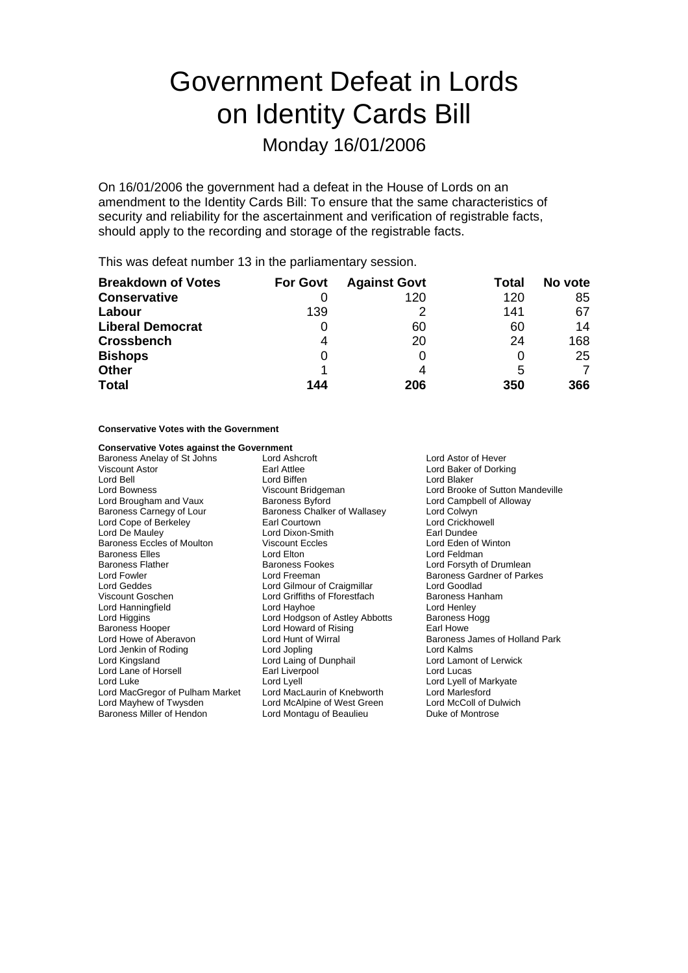# Government Defeat in Lords on Identity Cards Bill

### Monday 16/01/2006

On 16/01/2006 the government had a defeat in the House of Lords on an amendment to the Identity Cards Bill: To ensure that the same characteristics of security and reliability for the ascertainment and verification of registrable facts, should apply to the recording and storage of the registrable facts.

This was defeat number 13 in the parliamentary session.

| <b>Breakdown of Votes</b> | <b>For Govt</b> | <b>Against Govt</b> | Total | No vote |
|---------------------------|-----------------|---------------------|-------|---------|
| <b>Conservative</b>       |                 | 120                 | 120   | 85      |
| Labour                    | 139             |                     | 141   | 67      |
| <b>Liberal Democrat</b>   | 0               | 60                  | 60    | 14      |
| <b>Crossbench</b>         | 4               | 20                  | 24    | 168     |
| <b>Bishops</b>            | 0               |                     | 0     | 25      |
| <b>Other</b>              |                 |                     | 5     |         |
| <b>Total</b>              | 144             | 206                 | 350   | 366     |

#### **Conservative Votes with the Government**

### **Conservative Votes against the Government**<br>Baroness Anelay of St Johns Lord Ashcroft

Baroness Anelay of St Johns Lord Ashcroft Lord Ashcroft Lord Astor of Hever Viscount Astor **Carl Attlee** Earl Attlee **Constant Constant Lord Baker of Dorking**<br>
Lord Bell **Constant Lord Baker** Lord Blaker Constant Lord Blaker Lord Bell Lord Biffen Lord Blaker Lord Brougham and Vaux Baroness Byford Baroness Carnegy of Lour Baroness Chalker of Wallasey Lord Colwyn<br>Lord Cope of Berkeley Lord Crickhowell<br>Lord Crickhowell Lord Cope of Berkeley **Earl Courtown Container Container Crick**howell Lord Crickhowell Lord Crickhowell Lord Crickhowell Lord Crickhowell Lord Crickhowell Lord Crickhowell Lord Crickhowell Lord Crickhowell Lord Crickhowell Baroness Eccles of Moulton Viscount Eccles Communication Corp. Lord Eden of Viscount Eccles Communication Corp.<br>Baroness Elles Communication Lord Elton Lord Feldman Baroness Elles **Lord Elton**<br>
Baroness Flather **Lord Elton**<br>
Baroness Fookes Baroness Flather **Baroness Fookes** Lord Forsyth of Drumlean<br>
Lord Fowler **Lord Forman**<br>
Lord Forman Baroness Gardner of Park Lord Geddes **Lord Gilmour of Craigmillar** Lord Goodlad<br>
Viscount Goschen **Lord Griffiths of Fforestfach** Baroness Hanham Lord Hanningfield **Lord Hayhoe** Lord Hayhoe Lord Hodgson of Astley Abbotts Baroness Hogg<br>
Lord Higgins Lord Hodgson of Astley Abbotts Baroness Hogg Lord Higgins **Lord Hodgson of Astley Abbotts** Baroness Hooper Lord Howard of Rising Earl Howe Lord Jenkin of Roding Lord Kingsland Lord Laing of Dunphail Lord Lamont of Lerwick Lord Lane of Horsell **Earl Liverpool** Earl Liverpool Cord Lucas<br>
Lord Luke Lord Lord Lord Lvell Cord Lucas Lord MacGregor of Pulham Market Lord MacLaurin of Knebworth Lord Marlesford Lord Mayhew of Twysden Lord McAlpine of West Green Lord McColl of Dulwich<br>
Lord McAlpine of Hendon Lord Montagu of Beaulieu<br>
Duke of Montrose

Lord Dixon-Smith<br>
Viscount Eccles

Use Lord Eden of Winton Lord Freeman Baroness Gardner of Parkes Lord Griffiths of Fforestfach Baroness Hanness Hannes<br>
Lord Hayhoe **Baroness** Lord Henley Lord Montagu of Beaulieu

Lord Brooke of Sutton Mandeville<br>Lord Campbell of Alloway Lord Hunt of Wirral **Consumers Consumers Aberavon Lord Hunt Of Aberavon Lord Kalms**<br>Lord Kalms Lord Lyell of Markyate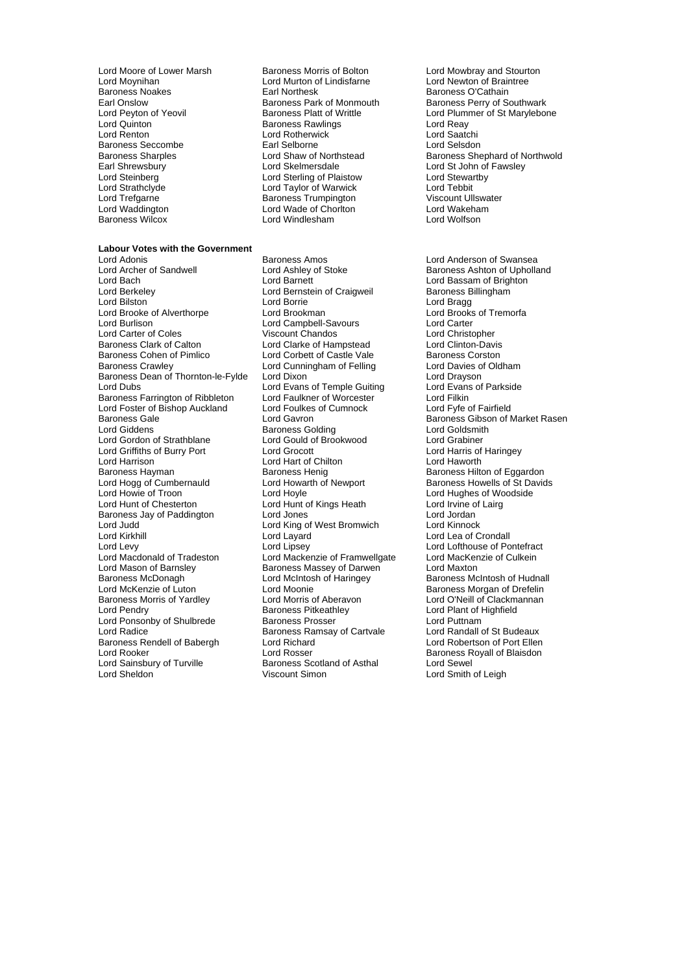Lord Moore of Lower Marsh Baroness Morris of Bolton Lord Mowbray and Stourton Lord Mover Lord Morris of Braintree<br>
Lord Moynihan Lord Murton of Lindisfarne Lord Newton of Braintree Baroness Seccombe<br>
Baroness Sharples<br>
Lord Shaw of Northstead Baroness Wilcox

Lord Murton of Lindisfarne<br>Earl Northesk Baroness Noakes **Earl Northesk Baroness O'Cathain**<br>Earl Onslow **Baroness Park of Monmouth** Baroness Perry of Sc Lord Quinton **Baroness Rawlings** Cord Reay<br>
Lord Reaton **Baroness Rawlings** Cord Reader<br>
Lord Reaton **Baroness Rawlings** Cord Rotherwick Lord Rotherwick Lord Saatchi<br>
Earl Selborne Lord Selsdon<br>
Lord Selsdon Earl Shrewsbury **Lord Skelmersdale** Lord Steven Lord St John of Fawsley<br>
Lord Steinberg **Lord Sterling of Plaistow** Lord Stewartby Lord Steinberg **Lord Sterling of Plaistow Lord Stevart Cord Stewart**<br>Lord Strathclyde **Lord Taylor Stevart Cord Texart Cord Texart**<br>Lord Tebbit Lord Strathclyde Lord Taylor of Warwick Lord Tebbit Lord Trefgarne **Baroness Trumpington** Miscount Ullswater of the Baroness Trumpington Cord Viscount Ullswater<br>
Baroness Trumpington Lord Viscount Ullswater<br>
Lord Waddington Lord Wade of Choriton Lord Wakeham Lord Wade of Chorlton Lord Wakeha<br>Lord Windlesham Lord Wolfson

### **Labour Votes with the Government**

Lord Bach Lord Barnett Lord Bassam of Brighton Lord Berkeley Lord Bernstein of Craigweil Baroness Billingham Lord Brooke of Alverthorpe Lord Burlison **Lord Campbell-Savours** Lord Canter Lord Carter Lord Carter Lord Canter Lord Christopher **Lord Christopher** Lord Carter of Coles **Viscount Chandos** Chandos Lord Christopher<br>Baroness Clark of Calton **Lord Clarke of Hampstead** Lord Clinton-Davis Baroness Clark of Calton **Lord Clarke of Hampstead** Lord Clinton-Davis<br>Baroness Cohen of Pimlico **Lord Corbett of Castle Vale** Baroness Corston Baroness Cohen of Pimlico **Lord Corbett of Castle Vale** Baroness Corston<br>Baroness Crawley **Lord Cunningham of Felling** Lord Davies of Oldham Baroness Dean of Thornton-le-Fylde Lord Dixon<br>Lord Dus Lord Dus Lord Dus Lord Dus Lord Dus Lord Dubs Lord Dubs Lord Dubs Baroness Farrington of Ribbleton Lord Faulkner of Worcester Lord Filkin Lord Foster of Bishop Auckland Lord Foulkes of Cumnock Lord Fyfe of Fairfield Baroness Gale <sup>1</sup> 1980 Lord Gavron 1980 Lord Baroness Gibson of Market Rasen<br>Lord Giddens 1980 Lord Baroness Golding 1980 Lord Goldsmith Lord Gordon of Strathblane Lord Gould of Brookwood Lord Grabiner Lord Griffiths of Burry Port Lord Grocott Lord Harris of Lord Harris of Lord Harris of Lord Harris of Lord Harris of Lord Harris of Lord Harris of Lord Harris of Lord Harris of Lord Harris of Lord Harris of Lord Harris of Lord Harrison Lord Hart of Chilton Baroness Hayman **Lord Hart of Chilton** Lord Hogg of Cumbernauld Lord Howarth of Newport Baroness Howells of St Davids<br>
Lord Howie of Troon Lord Hoyle Cord Hovels and Burd Hughes of Woodside Lord Howie of Troon **Lord Hoyle** Lord Hoyle **Lord Hughes of Woodside**<br>
Lord Hunt of Chesterton **Lord Hunt of Kings Heath** Lord Irvine of Lairg Baroness Jay of Paddington Lord Jones Lord Jordan Lord Judd **Lord King of West Bromwich**<br>
Lord Kirkhill **Lord Lavard** Lord Levy Lord Lipsey Lord Lofthouse of Pontefract Lord Macdonald of Tradeston Lord Mackenzie of Framwellgate Lord MacKenzie of Culkein<br>Lord Mason of Barnsley Baroness Massey of Darwen Lord Maxton Lord Mason of Barnsley **Baroness Massey of Darwen Lord Maxton**<br>Baroness McDonagh **Baroness Lord McIntosh of Haringey** Baroness McIntosh of Hudnall Baroness McDonagh **Lord McIntosh of Haringey**<br>
Lord McKenzie of Luton<br>
Lord Moonie Lord McKenzie of Luton<br>
Lord McKenzie of Luton Lord Moonie Cord Moonie Charles Baroness Morgan of Drefelin<br>
Baroness Morris of Yardley Lord Morris of Aberavon Lord O'Neill of Clackmannan Lord Pendry Theory Caroness Pitkeathley Theory Cord Plant of Highfield<br>
Lord Ponsonby of Shulbrede Baroness Prosser Cord Puttnam Lord Ponsonby of Shulbrede Baroness Prosser **Lord Puttnam**<br>
Lord Radice **Baroness Ramsay of Cartvale** Lord Randall of St Budeaux Lord Radice <sup>T</sup><br>Baroness Rendell of Babergh Theoric Lord Richard Cartvale Theoric Lord Robertson of Port Ellen Baroness Rendell of Babergh Lord Richard<br>
Lord Rooker Cord Election of Rosser Lord Rooker **Lord Rosser** Cord Rosser **Baroness Royall of Blaisdon**<br>
Lord Sainsbury of Turville **Baroness Scotland of Asthal** Lord Sewel Lord Sainsbury of Turville **Baroness Scotland of Asthal** Lord Sewel<br>
Lord Sheldon **Baroness Scotland of Asthal** Lord Smith

Lord Adonis<br>
Lord Archer of Sandwell **Baroness Amos** Lord Ashley of Stoke<br>
Lord Archer of Sandwell<br>
Lord Ashley of Stoke<br>
Baroness Ashton of Upholla Lord Bilston Lord Borrie Lord Bragg Lord Cunningham of Felling Lord Davies of Lord Dixon<br>
Lord Dixon<br>
Lord Dravson Lord Evans of Temple Guiting<br>Lord Faulkner of Worcester Lord Gidding<br>Lord Gould of Brookwood Baroness Henig<br>
Lord Howarth of Newport<br>
Baroness Howells of St David Lord Hunt of Kings Heath Lord Layard Lord Lea of Crondall<br>
Lord Lipsey Lord Lofthouse of Po Lord Morris of Aberavon Lord O'Neill of Clackmannan<br>Baroness Pitkeathley Lord Plant of Highfield

Earl Onslow Baroness Park of Monmouth Baroness Perry of Southwark<br>
Lord Peyton of Yeovil Baroness Platt of Writtle Lord Plummer of St Marylebor Lord Peyton of Yeovil **Baroness Platt of Writtle Corporation** Lord Plummer of St Marylebone<br>Lord Quinton Lord Reaville Baroness Rawlings **Corporation Lord Reav** Baroness Sharples **Exercise Sharples Constructs Constructs** Lord Shaw of Northstead Baroness Shephard of Northwold<br>
Earl Shrewsbury **Example Shares** Lord Skelmersdale **Lord Stephard Shares Lord Stephard Shares** Lord Stepha

> Baroness Ashton of Upholland Lord Smith of Leigh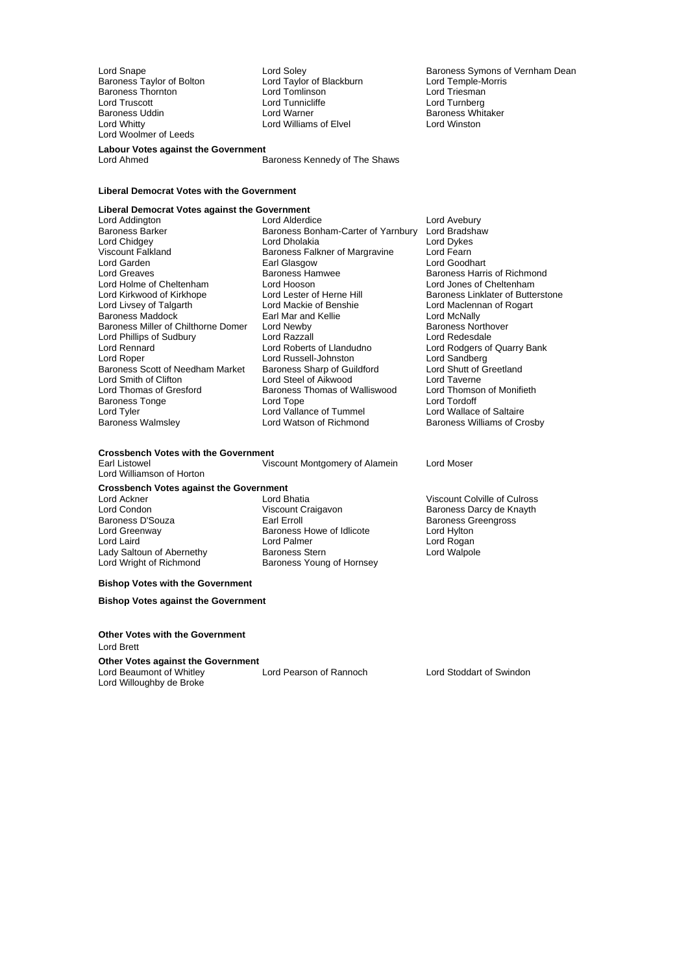Baroness Taylor of Bolton **Lord Taylor of Blackburn** Cord Temple-Morris Lord Temple-Morris Lord Temple-Morris Lord Triesman Baroness Thornton Lord Tomlinson<br>
Lord Truscott Lord Tunnicliffe Lord Truscott **Lord Turnicliffe** Lord Turnicliffe Lord Turnberg<br>
Baroness Uddin Lord Warner Lord Warner Christian Baroness Whit Baroness Uddin Lord Warner Baroness Whitaker Lord Woolmer of Leeds

Lord Williams of Elvel

Lord Snape Lord Soley Cord Soley Baroness Symons of Vernham Dean<br>
Baroness Taylor of Bolton Lord Taylor of Blackburn Lord Temple-Morris

Baroness Harris of Richmond<br>Lord Jones of Cheltenham

### **Labour Votes against the Government**<br>Lord Ahmed

Baroness Kennedy of The Shaws

#### **Liberal Democrat Votes with the Government**

### **Liberal Democrat Votes against the Government**

Lord Addington **Lack Construction Construction**<br>Baroness Barker **Construction Baroness Bonham-Carter of Yarnbury** Lord Bradsha Lord Chidgey Lord Dholakia Lord Dykes Viscount Falkland **Baroness Falkner of Margravine** Lord Fearn<br>
Lord Garden **Baroness Falkner of Margravine** Lord Goodhart Lord Garden **Earl Glasgow**<br> **Earl Greaves**<br> **Early Baroness Hamwee** Lord Holme of Cheltenham Lord Hooson Lord Kirkwood of Kirkhope Lord Lester of Herne Hill Baroness Linklater of Butterstone<br>
Lord Livsey of Talgarth Lord Mackie of Benshie Lord Maclennan of Rogart Baroness Maddock **Earl Mar and Kellie** Earl Mar and Hellie Lord McNally<br>Baroness Miller of Chilthorne Domer Lord Newby **Baroness Northover** Baroness Miller of Chilthorne Domer Lord Newby **Baroness Northover Constructs** Baroness Northover Lord Redesdale<br>
Lord Redesdale Constructs Lord Razzall Lord Phillips of Sudbury Lord Razzall<br>Lord Rennard Lord Roberts of Llandudno Lord Rennard Lord Roberts of Llandudno<br>
Lord Rodgers of Quarry Bank<br>
Lord Robert Lord Roberts of Llandudno<br>
Baroness Scott of Needham Market Baroness Sharp of Guildford Lord Shutt of Greetland Baroness Scott of Needham Market Baroness Sharp of Guildford Lord Shutt of Clifton Lord Shutt of Clifton Lord Shutt of Clifton Lord Smith of Clifton Lord Steel of Aikwood Lord Taverne Baroness Tonge<br>
Lord Tyler<br>
Lord Vallance of Tummel Lord Tyler Tube Tummel Lord Vallance of Tummel<br>
Lord Wallace of Saltaire Lord Wallance of Tummel Tube Corporation Baroness Williams of Cr

Baroness Bonham-Carter of Yarnbury Lord Bradshaw<br>Lord Dholakia **Brades** Lord Dykes Lord Mackie of Benshie Lord Maclennan of Rogart<br>
Earl Mar and Kellie **Lord McNally** Lord Russell-Johnston Baroness Thomas of Walliswood Lord Thomson Lord Tope Lord Tordoff

## **Crossbench Votes with the Government**

Lord Williamson of Horton

# **Crossbench Votes against the Government**

Lady Saltoun of Abernethy<br>Lord Wright of Richmond

Lord Condon **Condon Craigavon** Viscount Craigavon **Baroness Darcy de Knayth**<br>
Baroness D'Souza **Carl Exal Erroll** Carl Erroll Consumer Baroness Greengross Lord Greenway **Baroness Howe of Idlicote** Lord Hylton<br>
Lord Laird **Cord Roman Lord Palmer** Cord Roman Lord Rogan Lord Laird **Laird** Lord Palmer Lord Palmer Lord Rogan<br>
Lady Saltoun of Abernethy **Baroness Stern** Lord Walpole Lord Walpole Baroness Young of Hornsey

Viscount Montgomery of Alamein Lord Moser

Viscount Colville of Culross Baroness Greengross

Baroness Williams of Crosby

#### **Bishop Votes with the Government**

**Bishop Votes against the Government**

#### **Other Votes with the Government**

Lord Brett

#### **Other Votes against the Government**

Lord Beaumont of Whitley Lord Pearson of Rannoch Lord Stoddart of Swindon Lord Willoughby de Broke